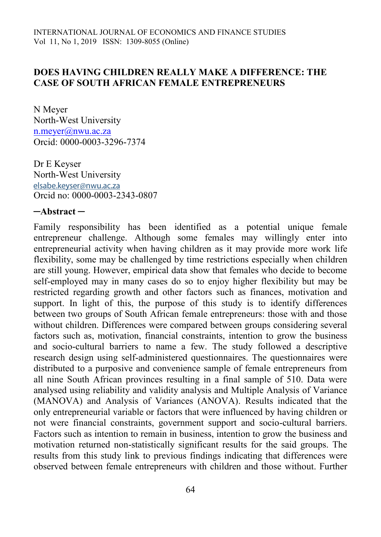### **DOES HAVING CHILDREN REALLY MAKE A DIFFERENCE: THE CASE OF SOUTH AFRICAN FEMALE ENTREPRENEURS**

N Meyer North-West University [n.meyer@nwu.ac.za](mailto:n.meyer@nwu.ac.za) Orcid: 0000-0003-3296-7374

Dr E Keyser North-West University elsabe.keyser@nwu.ac.za Orcid no: 0000-0003-2343-0807

#### **─Abstract ─**

Family responsibility has been identified as a potential unique female entrepreneur challenge. Although some females may willingly enter into entrepreneurial activity when having children as it may provide more work life flexibility, some may be challenged by time restrictions especially when children are still young. However, empirical data show that females who decide to become self-employed may in many cases do so to enjoy higher flexibility but may be restricted regarding growth and other factors such as finances, motivation and support. In light of this, the purpose of this study is to identify differences between two groups of South African female entrepreneurs: those with and those without children. Differences were compared between groups considering several factors such as, motivation, financial constraints, intention to grow the business and socio-cultural barriers to name a few. The study followed a descriptive research design using self-administered questionnaires. The questionnaires were distributed to a purposive and convenience sample of female entrepreneurs from all nine South African provinces resulting in a final sample of 510. Data were analysed using reliability and validity analysis and Multiple Analysis of Variance (MANOVA) and Analysis of Variances (ANOVA). Results indicated that the only entrepreneurial variable or factors that were influenced by having children or not were financial constraints, government support and socio-cultural barriers. Factors such as intention to remain in business, intention to grow the business and motivation returned non-statistically significant results for the said groups. The results from this study link to previous findings indicating that differences were observed between female entrepreneurs with children and those without. Further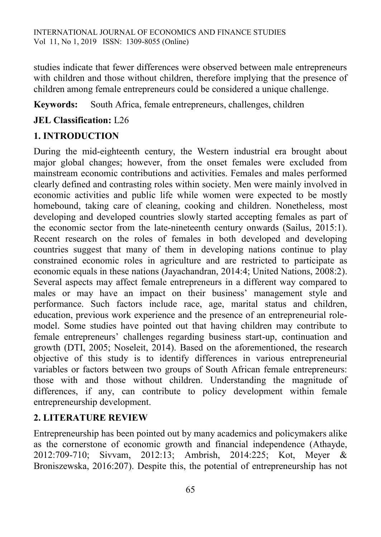studies indicate that fewer differences were observed between male entrepreneurs with children and those without children, therefore implying that the presence of children among female entrepreneurs could be considered a unique challenge.

## **Keywords:** South Africa, female entrepreneurs, challenges, children

## **JEL Classification:** L26

## **1. INTRODUCTION**

During the mid-eighteenth century, the Western industrial era brought about major global changes; however, from the onset females were excluded from mainstream economic contributions and activities. Females and males performed clearly defined and contrasting roles within society. Men were mainly involved in economic activities and public life while women were expected to be mostly homebound, taking care of cleaning, cooking and children. Nonetheless, most developing and developed countries slowly started accepting females as part of the economic sector from the late-nineteenth century onwards (Sailus, 2015:1). Recent research on the roles of females in both developed and developing countries suggest that many of them in developing nations continue to play constrained economic roles in agriculture and are restricted to participate as economic equals in these nations (Jayachandran, 2014:4; United Nations, 2008:2). Several aspects may affect female entrepreneurs in a different way compared to males or may have an impact on their business' management style and performance. Such factors include race, age, marital status and children, education, previous work experience and the presence of an entrepreneurial rolemodel. Some studies have pointed out that having children may contribute to female entrepreneurs' challenges regarding business start-up, continuation and growth (DTI, 2005; Noseleit, 2014). Based on the aforementioned, the research objective of this study is to identify differences in various entrepreneurial variables or factors between two groups of South African female entrepreneurs: those with and those without children. Understanding the magnitude of differences, if any, can contribute to policy development within female entrepreneurship development.

## **2. LITERATURE REVIEW**

Entrepreneurship has been pointed out by many academics and policymakers alike as the cornerstone of economic growth and financial independence (Athayde, 2012:709-710; Sivvam, 2012:13; Ambrish, 2014:225; Kot, Meyer & Broniszewska, 2016:207). Despite this, the potential of entrepreneurship has not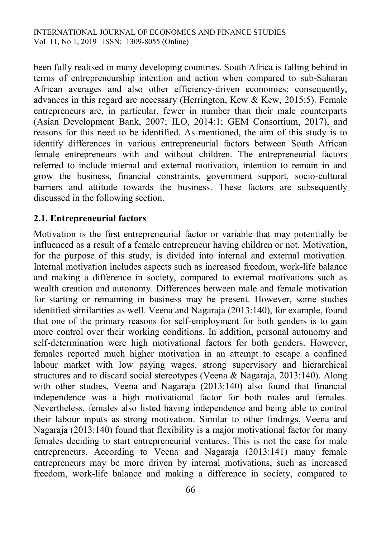been fully realised in many developing countries. South Africa is falling behind in terms of entrepreneurship intention and action when compared to sub-Saharan African averages and also other efficiency-driven economies; consequently, advances in this regard are necessary (Herrington, Kew & Kew, 2015:5). Female entrepreneurs are, in particular, fewer in number than their male counterparts (Asian Development Bank, 2007; ILO, 2014:1; GEM Consortium, 2017), and reasons for this need to be identified. As mentioned, the aim of this study is to identify differences in various entrepreneurial factors between South African female entrepreneurs with and without children. The entrepreneurial factors referred to include internal and external motivation, intention to remain in and grow the business, financial constraints, government support, socio-cultural barriers and attitude towards the business. These factors are subsequently discussed in the following section.

### **2.1. Entrepreneurial factors**

Motivation is the first entrepreneurial factor or variable that may potentially be influenced as a result of a female entrepreneur having children or not. Motivation, for the purpose of this study, is divided into internal and external motivation. Internal motivation includes aspects such as increased freedom, work-life balance and making a difference in society, compared to external motivations such as wealth creation and autonomy. Differences between male and female motivation for starting or remaining in business may be present. However, some studies identified similarities as well. Veena and Nagaraja (2013:140), for example, found that one of the primary reasons for self-employment for both genders is to gain more control over their working conditions. In addition, personal autonomy and self-determination were high motivational factors for both genders. However, females reported much higher motivation in an attempt to escape a confined labour market with low paying wages, strong supervisory and hierarchical structures and to discard social stereotypes (Veena & Nagaraja, 2013:140). Along with other studies, Veena and Nagaraja (2013:140) also found that financial independence was a high motivational factor for both males and females. Nevertheless, females also listed having independence and being able to control their labour inputs as strong motivation. Similar to other findings, Veena and Nagaraja (2013:140) found that flexibility is a major motivational factor for many females deciding to start entrepreneurial ventures. This is not the case for male entrepreneurs. According to Veena and Nagaraja (2013:141) many female entrepreneurs may be more driven by internal motivations, such as increased freedom, work-life balance and making a difference in society, compared to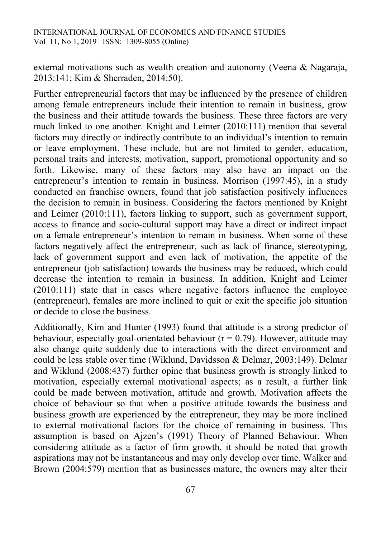external motivations such as wealth creation and autonomy (Veena & Nagaraja, 2013:141; Kim & Sherraden, 2014:50).

Further entrepreneurial factors that may be influenced by the presence of children among female entrepreneurs include their intention to remain in business, grow the business and their attitude towards the business. These three factors are very much linked to one another. Knight and Leimer (2010:111) mention that several factors may directly or indirectly contribute to an individual's intention to remain or leave employment. These include, but are not limited to gender, education, personal traits and interests, motivation, support, promotional opportunity and so forth. Likewise, many of these factors may also have an impact on the entrepreneur's intention to remain in business. Morrison (1997:45), in a study conducted on franchise owners, found that job satisfaction positively influences the decision to remain in business. Considering the factors mentioned by Knight and Leimer (2010:111), factors linking to support, such as government support, access to finance and socio-cultural support may have a direct or indirect impact on a female entrepreneur's intention to remain in business. When some of these factors negatively affect the entrepreneur, such as lack of finance, stereotyping, lack of government support and even lack of motivation, the appetite of the entrepreneur (job satisfaction) towards the business may be reduced, which could decrease the intention to remain in business. In addition, Knight and Leimer (2010:111) state that in cases where negative factors influence the employee (entrepreneur), females are more inclined to quit or exit the specific job situation or decide to close the business.

Additionally, Kim and Hunter (1993) found that attitude is a strong predictor of behaviour, especially goal-orientated behaviour ( $r = 0.79$ ). However, attitude may also change quite suddenly due to interactions with the direct environment and could be less stable over time (Wiklund, Davidsson & Delmar, 2003:149). Delmar and Wiklund (2008:437) further opine that business growth is strongly linked to motivation, especially external motivational aspects; as a result, a further link could be made between motivation, attitude and growth. Motivation affects the choice of behaviour so that when a positive attitude towards the business and business growth are experienced by the entrepreneur, they may be more inclined to external motivational factors for the choice of remaining in business. This assumption is based on Ajzen's (1991) Theory of Planned Behaviour. When considering attitude as a factor of firm growth, it should be noted that growth aspirations may not be instantaneous and may only develop over time. Walker and Brown (2004:579) mention that as businesses mature, the owners may alter their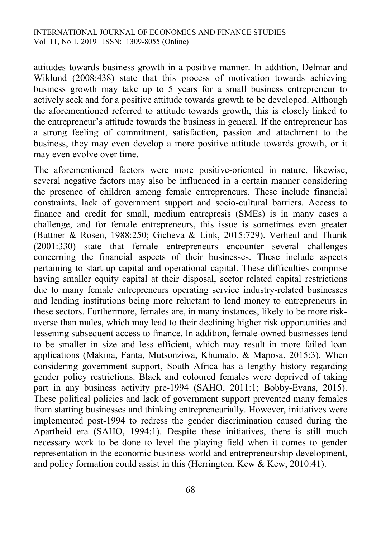attitudes towards business growth in a positive manner. In addition, Delmar and Wiklund (2008:438) state that this process of motivation towards achieving business growth may take up to 5 years for a small business entrepreneur to actively seek and for a positive attitude towards growth to be developed. Although the aforementioned referred to attitude towards growth, this is closely linked to the entrepreneur's attitude towards the business in general. If the entrepreneur has a strong feeling of commitment, satisfaction, passion and attachment to the business, they may even develop a more positive attitude towards growth, or it may even evolve over time.

The aforementioned factors were more positive-oriented in nature, likewise, several negative factors may also be influenced in a certain manner considering the presence of children among female entrepreneurs. These include financial constraints, lack of government support and socio-cultural barriers. Access to finance and credit for small, medium entrepresis (SMEs) is in many cases a challenge, and for female entrepreneurs, this issue is sometimes even greater (Buttner & Rosen, 1988:250; Gicheva & Link, 2015:729). Verheul and Thurik (2001:330) state that female entrepreneurs encounter several challenges concerning the financial aspects of their businesses. These include aspects pertaining to start-up capital and operational capital. These difficulties comprise having smaller equity capital at their disposal, sector related capital restrictions due to many female entrepreneurs operating service industry-related businesses and lending institutions being more reluctant to lend money to entrepreneurs in these sectors. Furthermore, females are, in many instances, likely to be more riskaverse than males, which may lead to their declining higher risk opportunities and lessening subsequent access to finance. In addition, female-owned businesses tend to be smaller in size and less efficient, which may result in more failed loan applications (Makina, Fanta, Mutsonziwa, Khumalo, & Maposa, 2015:3). When considering government support, South Africa has a lengthy history regarding gender policy restrictions. Black and coloured females were deprived of taking part in any business activity pre-1994 (SAHO, 2011:1; Bobby-Evans, 2015). These political policies and lack of government support prevented many females from starting businesses and thinking entrepreneurially. However, initiatives were implemented post-1994 to redress the gender discrimination caused during the Apartheid era (SAHO, 1994:1). Despite these initiatives, there is still much necessary work to be done to level the playing field when it comes to gender representation in the economic business world and entrepreneurship development, and policy formation could assist in this (Herrington, Kew & Kew, 2010:41).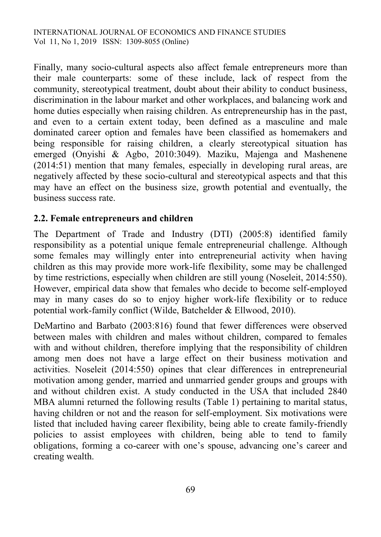Finally, many socio-cultural aspects also affect female entrepreneurs more than their male counterparts: some of these include, lack of respect from the community, stereotypical treatment, doubt about their ability to conduct business, discrimination in the labour market and other workplaces, and balancing work and home duties especially when raising children. As entrepreneurship has in the past, and even to a certain extent today, been defined as a masculine and male dominated career option and females have been classified as homemakers and being responsible for raising children, a clearly stereotypical situation has emerged (Onyishi & Agbo, 2010:3049). Maziku, Majenga and Mashenene (2014:51) mention that many females, especially in developing rural areas, are negatively affected by these socio-cultural and stereotypical aspects and that this may have an effect on the business size, growth potential and eventually, the business success rate.

### **2.2. Female entrepreneurs and children**

The Department of Trade and Industry (DTI) (2005:8) identified family responsibility as a potential unique female entrepreneurial challenge. Although some females may willingly enter into entrepreneurial activity when having children as this may provide more work-life flexibility, some may be challenged by time restrictions, especially when children are still young (Noseleit, 2014:550). However, empirical data show that females who decide to become self-employed may in many cases do so to enjoy higher work-life flexibility or to reduce potential work-family conflict (Wilde, Batchelder & Ellwood, 2010).

DeMartino and Barbato (2003:816) found that fewer differences were observed between males with children and males without children, compared to females with and without children, therefore implying that the responsibility of children among men does not have a large effect on their business motivation and activities. Noseleit (2014:550) opines that clear differences in entrepreneurial motivation among gender, married and unmarried gender groups and groups with and without children exist. A study conducted in the USA that included 2840 MBA alumni returned the following results (Table 1) pertaining to marital status, having children or not and the reason for self-employment. Six motivations were listed that included having career flexibility, being able to create family-friendly policies to assist employees with children, being able to tend to family obligations, forming a co-career with one's spouse, advancing one's career and creating wealth.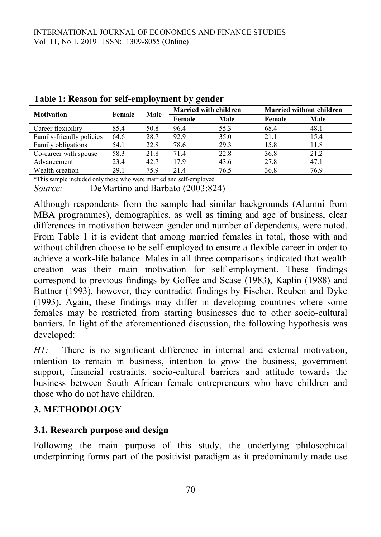| <b>Motivation</b>        | Female | Male | <b>Married with children</b> |      | <b>Married without children</b> |      |
|--------------------------|--------|------|------------------------------|------|---------------------------------|------|
|                          |        |      | Female                       | Male | Female                          | Male |
| Career flexibility       | 85.4   | 50.8 | 96.4                         | 55.3 | 68.4                            | 48.1 |
| Family-friendly policies | 64.6   | 28.7 | 92.9                         | 35.0 | 21.1                            | 15.4 |
| Family obligations       | 54.1   | 22.8 | 78.6                         | 29.3 | 15.8                            | 11.8 |
| Co-career with spouse    | 58.3   | 21.8 | 71.4                         | 22.8 | 36.8                            | 21.2 |
| Advancement              | 23.4   | 42.7 | 17.9                         | 43.6 | 27.8                            | 47.1 |
| Wealth creation          | 29.1   | 75.9 | 214                          | 76.5 | 36.8                            | 76.9 |

| Table 1: Reason for self-employment by gender |
|-----------------------------------------------|
|-----------------------------------------------|

\*This sample included only those who were married and self-employed

*Source:* DeMartino and Barbato (2003:824)

Although respondents from the sample had similar backgrounds (Alumni from MBA programmes), demographics, as well as timing and age of business, clear differences in motivation between gender and number of dependents, were noted. From Table 1 it is evident that among married females in total, those with and without children choose to be self-employed to ensure a flexible career in order to achieve a work-life balance. Males in all three comparisons indicated that wealth creation was their main motivation for self-employment. These findings correspond to previous findings by Goffee and Scase (1983), Kaplin (1988) and Buttner (1993), however, they contradict findings by Fischer, Reuben and Dyke (1993). Again, these findings may differ in developing countries where some females may be restricted from starting businesses due to other socio-cultural barriers. In light of the aforementioned discussion, the following hypothesis was developed:

*H1:* There is no significant difference in internal and external motivation, intention to remain in business, intention to grow the business, government support, financial restraints, socio-cultural barriers and attitude towards the business between South African female entrepreneurs who have children and those who do not have children.

## **3. METHODOLOGY**

### **3.1. Research purpose and design**

Following the main purpose of this study, the underlying philosophical underpinning forms part of the positivist paradigm as it predominantly made use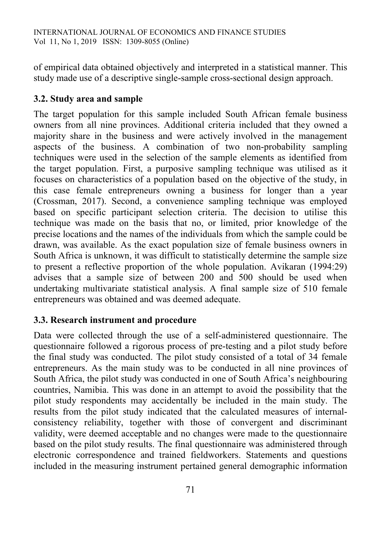of empirical data obtained objectively and interpreted in a statistical manner. This study made use of a descriptive single-sample cross-sectional design approach.

## **3.2. Study area and sample**

The target population for this sample included South African female business owners from all nine provinces. Additional criteria included that they owned a majority share in the business and were actively involved in the management aspects of the business. A combination of two non-probability sampling techniques were used in the selection of the sample elements as identified from the target population. First, a purposive sampling technique was utilised as it focuses on characteristics of a population based on the objective of the study, in this case female entrepreneurs owning a business for longer than a year (Crossman, 2017). Second, a convenience sampling technique was employed based on specific participant selection criteria. The decision to utilise this technique was made on the basis that no, or limited, prior knowledge of the precise locations and the names of the individuals from which the sample could be drawn, was available. As the exact population size of female business owners in South Africa is unknown, it was difficult to statistically determine the sample size to present a reflective proportion of the whole population. Avikaran (1994:29) advises that a sample size of between 200 and 500 should be used when undertaking multivariate statistical analysis. A final sample size of 510 female entrepreneurs was obtained and was deemed adequate.

# **3.3. Research instrument and procedure**

Data were collected through the use of a self-administered questionnaire. The questionnaire followed a rigorous process of pre-testing and a pilot study before the final study was conducted. The pilot study consisted of a total of 34 female entrepreneurs. As the main study was to be conducted in all nine provinces of South Africa, the pilot study was conducted in one of South Africa's neighbouring countries, Namibia. This was done in an attempt to avoid the possibility that the pilot study respondents may accidentally be included in the main study. The results from the pilot study indicated that the calculated measures of internalconsistency reliability, together with those of convergent and discriminant validity, were deemed acceptable and no changes were made to the questionnaire based on the pilot study results. The final questionnaire was administered through electronic correspondence and trained fieldworkers. Statements and questions included in the measuring instrument pertained general demographic information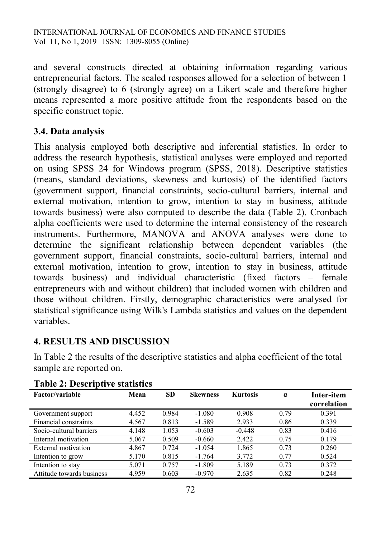and several constructs directed at obtaining information regarding various entrepreneurial factors. The scaled responses allowed for a selection of between 1 (strongly disagree) to 6 (strongly agree) on a Likert scale and therefore higher means represented a more positive attitude from the respondents based on the specific construct topic.

## **3.4. Data analysis**

This analysis employed both descriptive and inferential statistics. In order to address the research hypothesis, statistical analyses were employed and reported on using SPSS 24 for Windows program (SPSS, 2018). Descriptive statistics (means, standard deviations, skewness and kurtosis) of the identified factors (government support, financial constraints, socio-cultural barriers, internal and external motivation, intention to grow, intention to stay in business, attitude towards business) were also computed to describe the data (Table 2). Cronbach alpha coefficients were used to determine the internal consistency of the research instruments. Furthermore, MANOVA and ANOVA analyses were done to determine the significant relationship between dependent variables (the government support, financial constraints, socio-cultural barriers, internal and external motivation, intention to grow, intention to stay in business, attitude towards business) and individual characteristic (fixed factors – female entrepreneurs with and without children) that included women with children and those without children. Firstly, demographic characteristics were analysed for statistical significance using Wilk's Lambda statistics and values on the dependent variables.

## **4. RESULTS AND DISCUSSION**

In Table 2 the results of the descriptive statistics and alpha coefficient of the total sample are reported on.

| Factor/variable           | Mean  | <b>SD</b> | <b>Skewness</b> | <b>Kurtosis</b> | $\alpha$ | Inter-item<br>correlation |
|---------------------------|-------|-----------|-----------------|-----------------|----------|---------------------------|
| Government support        | 4.452 | 0.984     | $-1.080$        | 0.908           | 0.79     | 0.391                     |
| Financial constraints     | 4.567 | 0.813     | $-1.589$        | 2.933           | 0.86     | 0.339                     |
| Socio-cultural barriers   | 4.148 | 1.053     | $-0.603$        | $-0.448$        | 0.83     | 0.416                     |
| Internal motivation       | 5.067 | 0.509     | $-0.660$        | 2.422           | 0.75     | 0.179                     |
| External motivation       | 4.867 | 0.724     | $-1.054$        | 1.865           | 0.73     | 0.260                     |
| Intention to grow         | 5.170 | 0.815     | $-1.764$        | 3.772           | 0.77     | 0.524                     |
| Intention to stay         | 5.071 | 0.757     | $-1.809$        | 5.189           | 0.73     | 0.372                     |
| Attitude towards business | 4.959 | 0.603     | $-0.970$        | 2.635           | 0.82     | 0.248                     |

#### **Table 2: Descriptive statistics**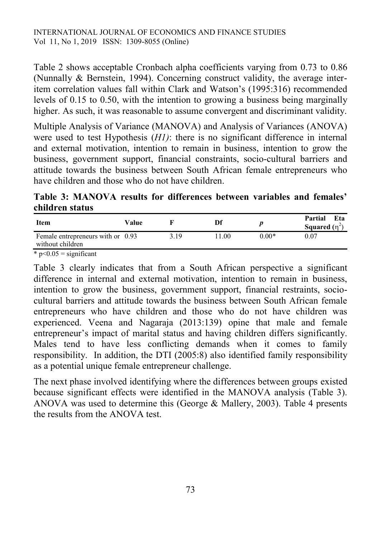Table 2 shows acceptable Cronbach alpha coefficients varying from 0.73 to 0.86 (Nunnally & Bernstein, 1994). Concerning construct validity, the average interitem correlation values fall within Clark and Watson's (1995:316) recommended levels of 0.15 to 0.50, with the intention to growing a business being marginally higher. As such, it was reasonable to assume convergent and discriminant validity.

Multiple Analysis of Variance (MANOVA) and Analysis of Variances (ANOVA) were used to test Hypothesis (*H1)*: there is no significant difference in internal and external motivation, intention to remain in business, intention to grow the business, government support, financial constraints, socio-cultural barriers and attitude towards the business between South African female entrepreneurs who have children and those who do not have children.

**Table 3: MANOVA results for differences between variables and females' children status**

| <b>Item</b>                                           | Value |      | Df   |         | Partial<br>Eta<br>Squared $(\eta^2)$ |
|-------------------------------------------------------|-------|------|------|---------|--------------------------------------|
| Female entrepreneurs with or 0.93<br>without children |       | 3.19 | 1.00 | $0.00*$ | 0.07                                 |
| $\sim$                                                |       |      |      |         |                                      |

 $*$  p<0.05 = significant

Table 3 clearly indicates that from a South African perspective a significant difference in internal and external motivation, intention to remain in business, intention to grow the business, government support, financial restraints, sociocultural barriers and attitude towards the business between South African female entrepreneurs who have children and those who do not have children was experienced. Veena and Nagaraja (2013:139) opine that male and female entrepreneur's impact of marital status and having children differs significantly. Males tend to have less conflicting demands when it comes to family responsibility. In addition, the DTI (2005:8) also identified family responsibility as a potential unique female entrepreneur challenge.

The next phase involved identifying where the differences between groups existed because significant effects were identified in the MANOVA analysis (Table 3). ANOVA was used to determine this (George & Mallery, 2003). Table 4 presents the results from the ANOVA test.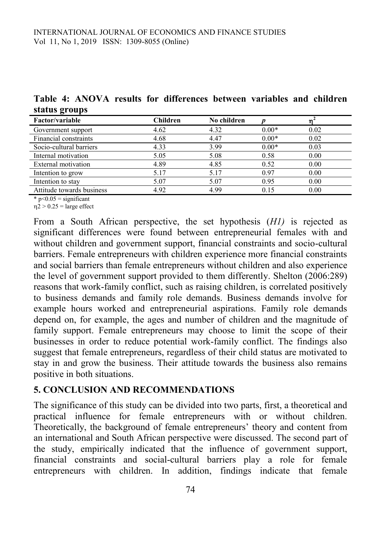|               |  |  | Table 4: ANOVA results for differences between variables and children |  |  |
|---------------|--|--|-----------------------------------------------------------------------|--|--|
| status groups |  |  |                                                                       |  |  |

| <b>Factor/variable</b>    | <b>Children</b> | No children |         |      |
|---------------------------|-----------------|-------------|---------|------|
| Government support        | 4.62            | 4.32        | $0.00*$ | 0.02 |
| Financial constraints     | 4.68            | 4.47        | $0.00*$ | 0.02 |
| Socio-cultural barriers   | 4.33            | 3.99        | $0.00*$ | 0.03 |
| Internal motivation       | 5.05            | 5.08        | 0.58    | 0.00 |
| External motivation       | 4.89            | 4.85        | 0.52    | 0.00 |
| Intention to grow         | 5.17            | 5.17        | 0.97    | 0.00 |
| Intention to stay         | 5.07            | 5.07        | 0.95    | 0.00 |
| Attitude towards business | 4.92            | 4.99        | 0.15    | 0.00 |

 $*$  p<0.05 = significant

 $\eta$ 2 > 0.25 = large effect

From a South African perspective, the set hypothesis (*H1)* is rejected as significant differences were found between entrepreneurial females with and without children and government support, financial constraints and socio-cultural barriers. Female entrepreneurs with children experience more financial constraints and social barriers than female entrepreneurs without children and also experience the level of government support provided to them differently. Shelton (2006:289) reasons that work-family conflict, such as raising children, is correlated positively to business demands and family role demands. Business demands involve for example hours worked and entrepreneurial aspirations. Family role demands depend on, for example, the ages and number of children and the magnitude of family support. Female entrepreneurs may choose to limit the scope of their businesses in order to reduce potential work-family conflict. The findings also suggest that female entrepreneurs, regardless of their child status are motivated to stay in and grow the business. Their attitude towards the business also remains positive in both situations.

### **5. CONCLUSION AND RECOMMENDATIONS**

The significance of this study can be divided into two parts, first, a theoretical and practical influence for female entrepreneurs with or without children. Theoretically, the background of female entrepreneurs' theory and content from an international and South African perspective were discussed. The second part of the study, empirically indicated that the influence of government support, financial constraints and social-cultural barriers play a role for female entrepreneurs with children. In addition, findings indicate that female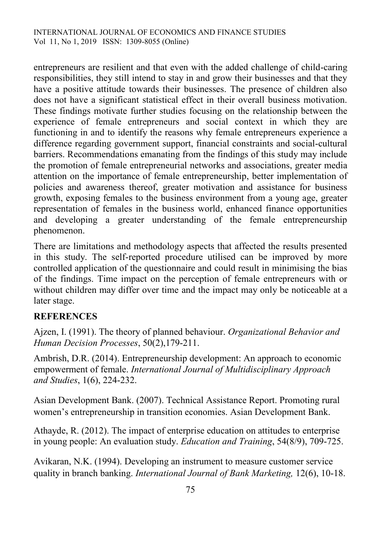entrepreneurs are resilient and that even with the added challenge of child-caring responsibilities, they still intend to stay in and grow their businesses and that they have a positive attitude towards their businesses. The presence of children also does not have a significant statistical effect in their overall business motivation. These findings motivate further studies focusing on the relationship between the experience of female entrepreneurs and social context in which they are functioning in and to identify the reasons why female entrepreneurs experience a difference regarding government support, financial constraints and social-cultural barriers. Recommendations emanating from the findings of this study may include the promotion of female entrepreneurial networks and associations, greater media attention on the importance of female entrepreneurship, better implementation of policies and awareness thereof, greater motivation and assistance for business growth, exposing females to the business environment from a young age, greater representation of females in the business world, enhanced finance opportunities and developing a greater understanding of the female entrepreneurship phenomenon.

There are limitations and methodology aspects that affected the results presented in this study. The self-reported procedure utilised can be improved by more controlled application of the questionnaire and could result in minimising the bias of the findings. Time impact on the perception of female entrepreneurs with or without children may differ over time and the impact may only be noticeable at a later stage.

# **REFERENCES**

Ajzen, I. (1991). The theory of planned behaviour. *Organizational Behavior and Human Decision Processes*, 50(2),179-211.

Ambrish, D.R. (2014). Entrepreneurship development: An approach to economic empowerment of female. *International Journal of Multidisciplinary Approach and Studies*, 1(6), 224-232.

Asian Development Bank. (2007). Technical Assistance Report. Promoting rural women's entrepreneurship in transition economies. Asian Development Bank.

Athayde, R. (2012). The impact of enterprise education on attitudes to enterprise in young people: An evaluation study. *Education and Training*, 54(8/9), 709-725.

Avikaran, N.K. (1994). Developing an instrument to measure customer service quality in branch banking. *International Journal of Bank Marketing,* 12(6), 10-18.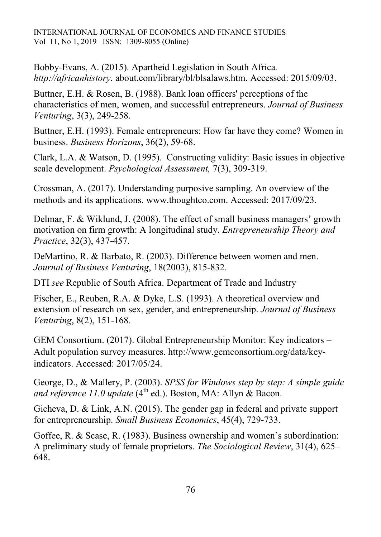Bobby-Evans, A. (2015). Apartheid Legislation in South Africa*. [http://africanhistory.](http://africanhistory/)* about.com/library/bl/blsalaws.htm. Accessed: 2015/09/03.

Buttner, E.H. & Rosen, B. (1988). Bank loan officers' perceptions of the characteristics of men, women, and successful entrepreneurs. *Journal of Business Venturing*, 3(3), 249-258.

Buttner, E.H. (1993). Female entrepreneurs: How far have they come? Women in business. *Business Horizons*, 36(2), 59-68.

Clark, L.A. & Watson, D. (1995). Constructing validity: Basic issues in objective scale development. *Psychological Assessment,* 7(3), 309-319.

Crossman, A. (2017). Understanding purposive sampling. An overview of the methods and its applications. [www.thoughtco.com.](http://www.thoughtco.com/) Accessed: 2017/09/23.

Delmar, F. & Wiklund, J. (2008). The effect of small business managers' growth motivation on firm growth: A longitudinal study. *Entrepreneurship Theory and Practice*, 32(3), 437-457.

DeMartino, R. & Barbato, R. (2003). Difference between women and men. *Journal of Business Venturing*, 18(2003), 815-832.

DTI *see* Republic of South Africa. Department of Trade and Industry

Fischer, E., Reuben, R.A. & Dyke, L.S. (1993). A theoretical overview and extension of research on sex, gender, and entrepreneurship. *Journal of Business Venturing*, 8(2), 151-168.

GEM Consortium. (2017). Global Entrepreneurship Monitor: Key indicators – Adult population survey measures. [http://www.gemconsortium.org/data/key](http://www.gemconsortium.org/data/key-indicators)[indicators.](http://www.gemconsortium.org/data/key-indicators) Accessed: 2017/05/24.

George, D., & Mallery, P. (2003). *SPSS for Windows step by step: A simple guide and reference 11.0 update* (4<sup>th</sup> ed.). Boston, MA: Allyn & Bacon.

Gicheva, D. & Link, A.N. (2015). The gender gap in federal and private support for entrepreneurship. *Small Business Economics*, 45(4), 729-733.

Goffee, R. & Scase, R. (1983). Business ownership and women's subordination: A preliminary study of female proprietors. *The Sociological Review*, 31(4), 625– 648.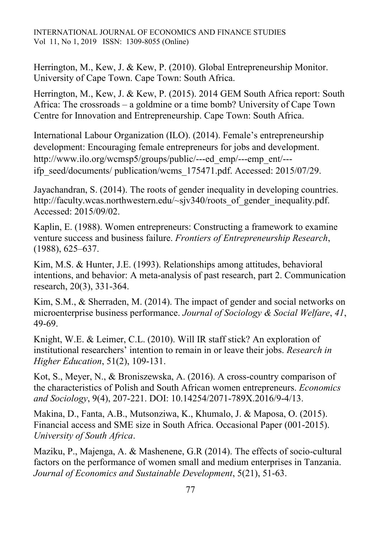Herrington, M., Kew, J. & Kew, P. (2010). Global Entrepreneurship Monitor. University of Cape Town. Cape Town: South Africa.

Herrington, M., Kew, J. & Kew, P. (2015). 2014 GEM South Africa report: South Africa: The crossroads – a goldmine or a time bomb? University of Cape Town Centre for Innovation and Entrepreneurship. Cape Town: South Africa.

International Labour Organization (ILO). (2014). Female's entrepreneurship development: Encouraging female entrepreneurs for jobs and development. http://www.ilo.org/wcmsp5/groups/public/---ed\_emp/---emp\_ent/-- ifp\_seed/documents/ publication/wcms\_175471.pdf. Accessed: 2015/07/29.

Jayachandran, S. (2014). The roots of gender inequality in developing countries. http://faculty.wcas.northwestern.edu/~sjv340/roots of gender inequality.pdf. Accessed: 2015/09/02.

Kaplin, E. (1988). Women entrepreneurs: Constructing a framework to examine venture success and business failure. *Frontiers of Entrepreneurship Research*, (1988), 625–637.

Kim, M.S. & Hunter, J.E. (1993). Relationships among attitudes, behavioral intentions, and behavior: A meta-analysis of past research, part 2. Communication research, 20(3), 331-364.

Kim, S.M., & Sherraden, M. (2014). The impact of gender and social networks on microenterprise business performance. *Journal of Sociology & Social Welfare*, *41*, 49-69.

Knight, W.E. & Leimer, C.L. (2010). Will IR staff stick? An exploration of institutional researchers' intention to remain in or leave their jobs. *Research in Higher Education*, 51(2), 109-131.

Kot, S., Meyer, N., & Broniszewska, A. (2016). A cross-country comparison of the characteristics of Polish and South African women entrepreneurs. *Economics and Sociology*, 9(4), 207-221. DOI: 10.14254/2071-789X.2016/9-4/13.

Makina, D., Fanta, A.B., Mutsonziwa, K., Khumalo, J. & Maposa, O. (2015). Financial access and SME size in South Africa. Occasional Paper (001-2015). *University of South Africa*.

Maziku, P., Majenga, A. & Mashenene, G.R (2014). The effects of socio-cultural factors on the performance of women small and medium enterprises in Tanzania. *Journal of Economics and Sustainable Development*, 5(21), 51-63.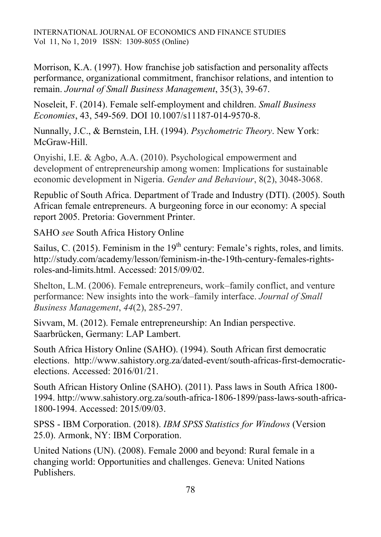Morrison, K.A. (1997). How franchise job satisfaction and personality affects performance, organizational commitment, franchisor relations, and intention to remain. *Journal of Small Business Management*, 35(3), 39-67.

Noseleit, F. (2014). Female self-employment and children. *Small Business Economies*, 43, 549-569. DOI 10.1007/s11187-014-9570-8.

Nunnally, J.C., & Bernstein, I.H. (1994). *Psychometric Theory*. New York: McGraw-Hill.

Onyishi, I.E. & Agbo, A.A. (2010). Psychological empowerment and development of entrepreneurship among women: Implications for sustainable economic development in Nigeria. *Gender and Behaviour*, 8(2), 3048-3068.

Republic of South Africa. Department of Trade and Industry (DTI). (2005). South African female entrepreneurs. A burgeoning force in our economy: A special report 2005. Pretoria: Government Printer.

SAHO *see* South Africa History Online

Sailus, C. (2015). Feminism in the  $19<sup>th</sup>$  century: Female's rights, roles, and limits. http://study.com/academy/lesson/feminism-in-the-19th-century-females-rightsroles-and-limits.html. Accessed: 2015/09/02.

Shelton, L.M. (2006). Female entrepreneurs, work–family conflict, and venture performance: New insights into the work–family interface. *Journal of Small Business Management*, *44*(2), 285-297.

Sivvam, M. (2012). Female entrepreneurship: An Indian perspective. Saarbrücken, Germany: LAP Lambert.

South Africa History Online (SAHO). (1994). South African first democratic elections. http://www.sahistory.org.za/dated-event/south-africas-first-democraticelections. Accessed: 2016/01/21.

South African History Online (SAHO). (2011). Pass laws in South Africa 1800- 1994. [http://www.sahistory.org.za/south-africa-1806-1899/pass-laws-south-africa-](http://www.sahistory.org.za/south-africa-1806-1899/pass-laws-south-africa-1800-1994)[1800-1994.](http://www.sahistory.org.za/south-africa-1806-1899/pass-laws-south-africa-1800-1994) Accessed: 2015/09/03.

SPSS - IBM Corporation. (2018). *IBM SPSS Statistics for Windows* (Version 25.0). Armonk, NY: IBM Corporation.

United Nations (UN). (2008). Female 2000 and beyond: Rural female in a changing world: Opportunities and challenges. Geneva: United Nations Publishers.